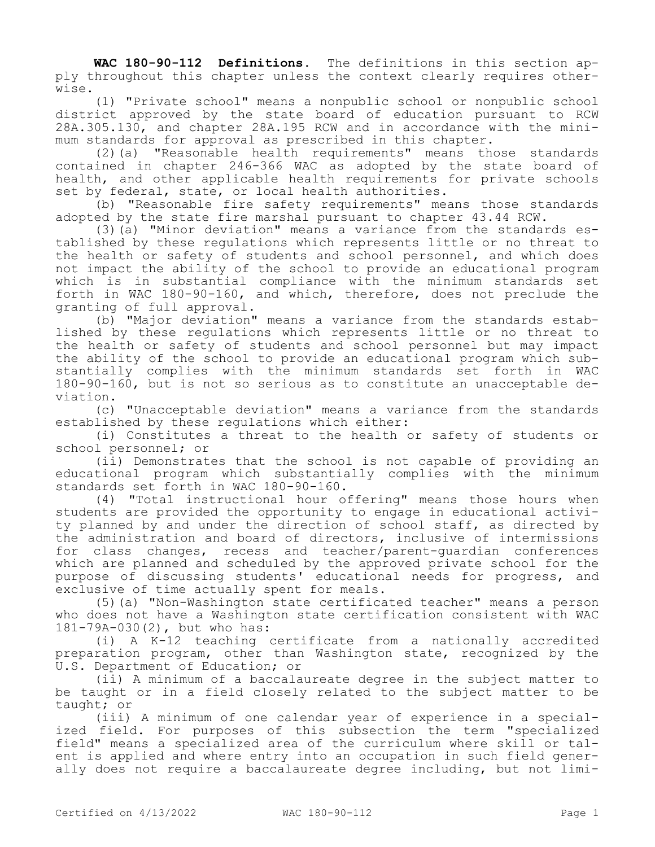**WAC 180-90-112 Definitions.** The definitions in this section apply throughout this chapter unless the context clearly requires otherwise.

(1) "Private school" means a nonpublic school or nonpublic school district approved by the state board of education pursuant to RCW 28A.305.130, and chapter 28A.195 RCW and in accordance with the minimum standards for approval as prescribed in this chapter.

(2)(a) "Reasonable health requirements" means those standards contained in chapter 246-366 WAC as adopted by the state board of health, and other applicable health requirements for private schools set by federal, state, or local health authorities.

(b) "Reasonable fire safety requirements" means those standards adopted by the state fire marshal pursuant to chapter 43.44 RCW.

(3)(a) "Minor deviation" means a variance from the standards established by these regulations which represents little or no threat to the health or safety of students and school personnel, and which does not impact the ability of the school to provide an educational program which is in substantial compliance with the minimum standards set forth in WAC 180-90-160, and which, therefore, does not preclude the granting of full approval.

(b) "Major deviation" means a variance from the standards established by these regulations which represents little or no threat to the health or safety of students and school personnel but may impact the ability of the school to provide an educational program which substantially complies with the minimum standards set forth in WAC 180-90-160, but is not so serious as to constitute an unacceptable deviation.

(c) "Unacceptable deviation" means a variance from the standards established by these regulations which either:

(i) Constitutes a threat to the health or safety of students or school personnel; or

(ii) Demonstrates that the school is not capable of providing an educational program which substantially complies with the minimum standards set forth in WAC 180-90-160.

(4) "Total instructional hour offering" means those hours when students are provided the opportunity to engage in educational activity planned by and under the direction of school staff, as directed by the administration and board of directors, inclusive of intermissions for class changes, recess and teacher/parent-guardian conferences which are planned and scheduled by the approved private school for the purpose of discussing students' educational needs for progress, and exclusive of time actually spent for meals.

(5)(a) "Non-Washington state certificated teacher" means a person who does not have a Washington state certification consistent with WAC 181-79A-030(2), but who has:

(i) A K-12 teaching certificate from a nationally accredited preparation program, other than Washington state, recognized by the U.S. Department of Education; or

(ii) A minimum of a baccalaureate degree in the subject matter to be taught or in a field closely related to the subject matter to be taught; or

(iii) A minimum of one calendar year of experience in a specialized field. For purposes of this subsection the term "specialized field" means a specialized area of the curriculum where skill or talent is applied and where entry into an occupation in such field generally does not require a baccalaureate degree including, but not limi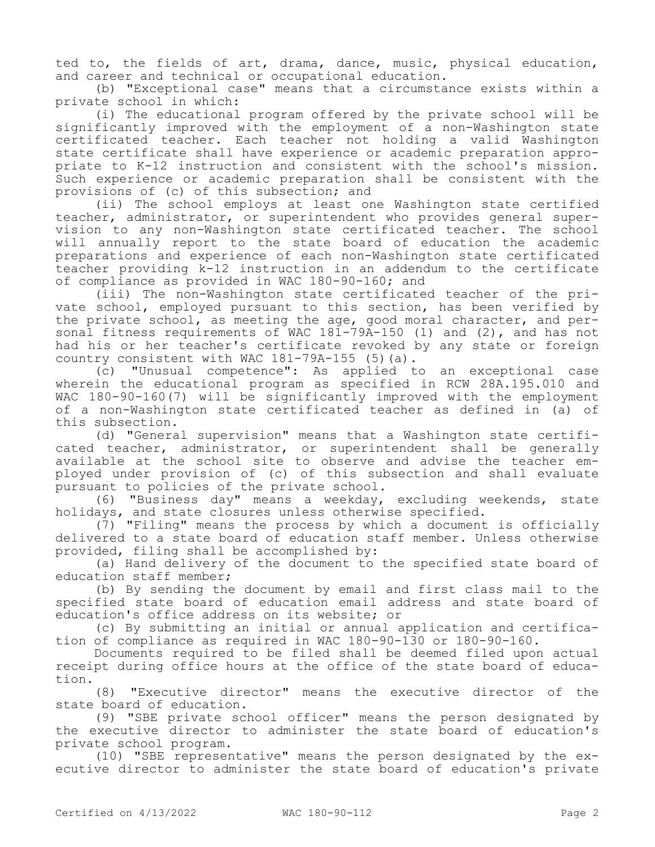ted to, the fields of art, drama, dance, music, physical education, and career and technical or occupational education.

(b) "Exceptional case" means that a circumstance exists within a private school in which:

(i) The educational program offered by the private school will be significantly improved with the employment of a non-Washington state certificated teacher. Each teacher not holding a valid Washington state certificate shall have experience or academic preparation appropriate to K-12 instruction and consistent with the school's mission. Such experience or academic preparation shall be consistent with the provisions of (c) of this subsection; and

(ii) The school employs at least one Washington state certified teacher, administrator, or superintendent who provides general supervision to any non-Washington state certificated teacher. The school will annually report to the state board of education the academic preparations and experience of each non-Washington state certificated teacher providing k-12 instruction in an addendum to the certificate of compliance as provided in WAC 180-90-160; and

(iii) The non-Washington state certificated teacher of the private school, employed pursuant to this section, has been verified by the private school, as meeting the age, good moral character, and personal fitness requirements of WAC 181-79A-150 (1) and (2), and has not had his or her teacher's certificate revoked by any state or foreign country consistent with WAC 181-79A-155 (5)(a).

(c) "Unusual competence": As applied to an exceptional case wherein the educational program as specified in RCW 28A.195.010 and WAC 180-90-160(7) will be significantly improved with the employment of a non-Washington state certificated teacher as defined in (a) of this subsection.

(d) "General supervision" means that a Washington state certificated teacher, administrator, or superintendent shall be generally available at the school site to observe and advise the teacher employed under provision of (c) of this subsection and shall evaluate pursuant to policies of the private school.

(6) "Business day" means a weekday, excluding weekends, state holidays, and state closures unless otherwise specified.

(7) "Filing" means the process by which a document is officially delivered to a state board of education staff member. Unless otherwise provided, filing shall be accomplished by:

(a) Hand delivery of the document to the specified state board of education staff member;

(b) By sending the document by email and first class mail to the specified state board of education email address and state board of education's office address on its website; or

(c) By submitting an initial or annual application and certification of compliance as required in WAC 180-90-130 or 180-90-160.

Documents required to be filed shall be deemed filed upon actual receipt during office hours at the office of the state board of education.

(8) "Executive director" means the executive director of the state board of education.

(9) "SBE private school officer" means the person designated by the executive director to administer the state board of education's private school program.

(10) "SBE representative" means the person designated by the executive director to administer the state board of education's private